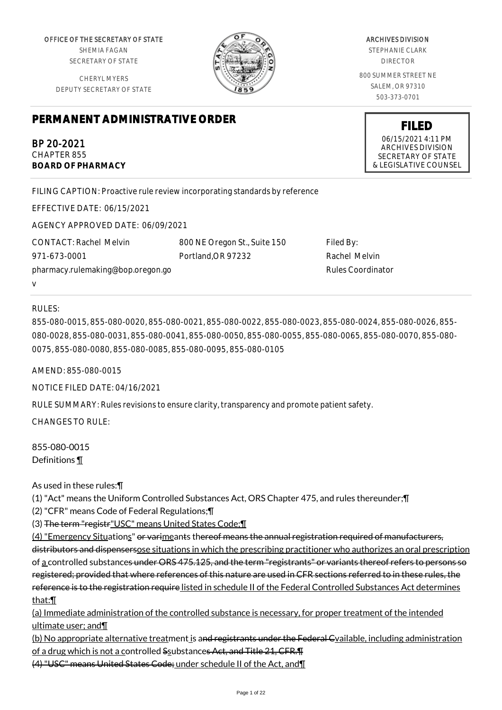OFFICE OF THE SECRETARY OF STATE SHEMIA FAGAN

SECRETARY OF STATE

CHERYL MYERS DEPUTY SECRETARY OF STATE

# **PERMANENT ADMINISTRATIVE ORDER**

BP 20-2021 CHAPTER 855 **BOARD OF PHARMACY**

FILING CAPTION: Proactive rule review incorporating standards by reference

EFFECTIVE DATE: 06/15/2021

AGENCY APPROVED DATE: 06/09/2021

CONTACT: Rachel Melvin 971-673-0001 pharmacy.rulemaking@bop.oregon.go v

800 NE Oregon St., Suite 150 Portland,OR 97232

Filed By: Rachel Melvin Rules Coordinator

## RULES:

855-080-0015, 855-080-0020, 855-080-0021, 855-080-0022, 855-080-0023, 855-080-0024, 855-080-0026, 855- 080-0028, 855-080-0031, 855-080-0041, 855-080-0050, 855-080-0055, 855-080-0065, 855-080-0070, 855-080- 0075, 855-080-0080, 855-080-0085, 855-080-0095, 855-080-0105

AMEND: 855-080-0015

NOTICE FILED DATE: 04/16/2021

RULE SUMMARY: Rules revisions to ensure clarity, transparency and promote patient safety.

 $CHANGFS TO RIIF$ 

855-080-0015 Definitions ¶

As used in these rules:¶

(1) "Act" means the Uniform Controlled Substances Act, ORS Chapter 475, and rules thereunder;¶

(2) "CFR" means Code of Federal Regulations;¶

(3) The term "registr"USC" means United States Code;¶

(4) "Emergency Situations" or varimeants thereof means the annual registration required of manufacturers, distributors and dispensersose situations in which the prescribing practitioner who authorizes an oral prescription of a controlled substances under ORS 475.125, and the term "registrants" or variants thereof refers to persons so registered; provided that where references of this nature are used in CFR sections referred to in these rules, the reference is to the registration require listed in schedule II of the Federal Controlled Substances Act determines that:¶

(a) Immediate administration of the controlled substance is necessary, for proper treatment of the intended ultimate user; and¶

(b) No appropriate alternative treatment is and registrants under the Federal Cyailable, including administration of a drug which is not a controlled Ssubstances Act, and Title 21, CFR. T

(4) "USC" means United States Code; under schedule II of the Act, and¶

#### ARCHIVES DIVISION

STEPHANIE CLARK DIRECTOR

800 SUMMER STREET NE SALEM, OR 97310 503-373-0701

> **FILED** 06/15/2021 4:11 PM ARCHIVES DIVISION SECRETARY OF STATE & LEGISLATIVE COUNSEL

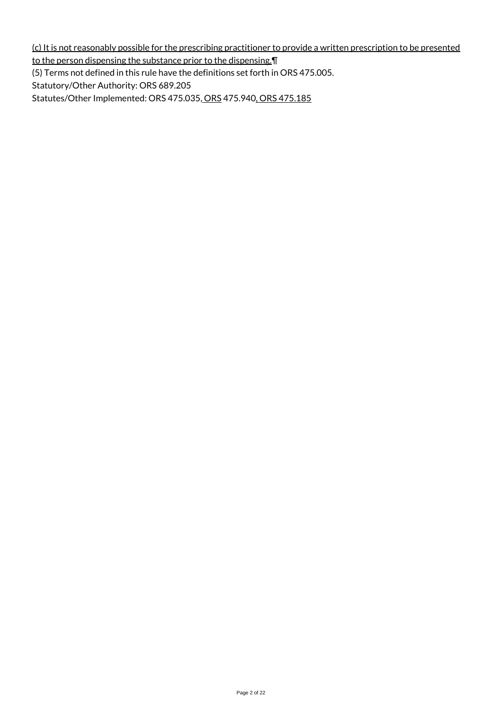(c) It is not reasonably possible for the prescribing practitioner to provide a written prescription to be presented to the person dispensing the substance prior to the dispensing.¶

(5) Terms not defined in this rule have the definitions set forth in ORS 475.005.

Statutory/Other Authority: ORS 689.205

Statutes/Other Implemented: ORS 475.035, ORS 475.940, ORS 475.185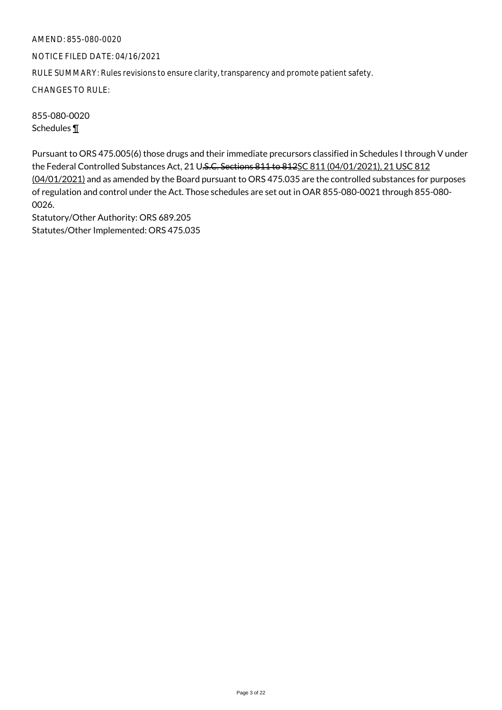NOTICE FILED DATE: 04/16/2021

RULE SUMMARY: Rules revisions to ensure clarity, transparency and promote patient safety.

CHANGES TO RULE:

855-080-0020 Schedules ¶

Pursuant to ORS 475.005(6) those drugs and their immediate precursors classified in Schedules I through V under the Federal Controlled Substances Act, 21 U.S.C. Sections 811 to 812SC 811 (04/01/2021), 21 USC 812 (04/01/2021) and as amended by the Board pursuant to ORS 475.035 are the controlled substances for purposes of regulation and control under the Act. Those schedules are set out in OAR 855-080-0021 through 855-080- 0026.

Statutory/Other Authority: ORS 689.205 Statutes/Other Implemented: ORS 475.035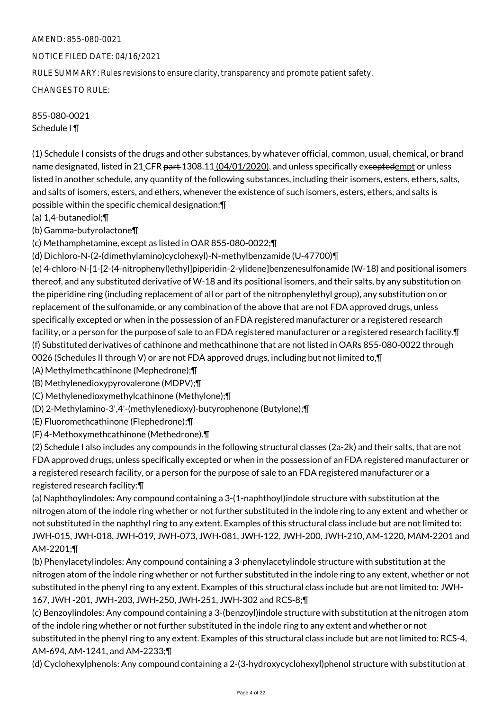## NOTICE FILED DATE: 04/16/2021

RULE SUMMARY: Rules revisions to ensure clarity, transparency and promote patient safety.

CHANGES TO RULE:

855-080-0021 Schedule I ¶

(1) Schedule I consists of the drugs and other substances, by whatever official, common, usual, chemical, or brand name designated, listed in 21 CFR part 1308.11 (04/01/2020), and unless specifically exceptedempt or unless listed in another schedule, any quantity of the following substances, including their isomers, esters, ethers, salts, and salts of isomers, esters, and ethers, whenever the existence of such isomers, esters, ethers, and salts is possible within the specific chemical designation:¶

(a) 1,4-butanediol;¶

(b) Gamma-butyrolactone¶

(c) Methamphetamine, except as listed in OAR 855-080-0022;¶

(d) Dichloro-N-(2-(dimethylamino)cyclohexyl)-N-methylbenzamide (U-47700)¶

(e) 4-chloro-N-[1-[2-(4-nitrophenyl)ethyl]piperidin-2-ylidene]benzenesulfonamide (W-18) and positional isomers thereof, and any substituted derivative of W-18 and its positional isomers, and their salts, by any substitution on the piperidine ring (including replacement of all or part of the nitrophenylethyl group), any substitution on or replacement of the sulfonamide, or any combination of the above that are not FDA approved drugs, unless specifically excepted or when in the possession of an FDA registered manufacturer or a registered research facility, or a person for the purpose of sale to an FDA registered manufacturer or a registered research facility. T (f) Substituted derivatives of cathinone and methcathinone that are not listed in OARs 855-080-0022 through 0026 (Schedules II through V) or are not FDA approved drugs, including but not limited to,¶

(A) Methylmethcathinone (Mephedrone);¶

(B) Methylenedioxypyrovalerone (MDPV);¶

(C) Methylenedioxymethylcathinone (Methylone);¶

(D) 2-Methylamino-3',4'-(methylenedioxy)-butyrophenone (Butylone);¶

(E) Fluoromethcathinone (Flephedrone);¶

(F) 4-Methoxymethcathinone (Methedrone).¶

(2) Schedule I also includes any compounds in the following structural classes (2a-2k) and their salts, that are not FDA approved drugs, unless specifically excepted or when in the possession of an FDA registered manufacturer or a registered research facility, or a person for the purpose of sale to an FDA registered manufacturer or a registered research facility:¶

(a) Naphthoylindoles: Any compound containing a 3-(1-naphthoyl)indole structure with substitution at the nitrogen atom of the indole ring whether or not further substituted in the indole ring to any extent and whether or not substituted in the naphthyl ring to any extent. Examples of this structural class include but are not limited to: JWH-015, JWH-018, JWH-019, JWH-073, JWH-081, JWH-122, JWH-200, JWH-210, AM-1220, MAM-2201 and AM-2201;¶

(b) Phenylacetylindoles: Any compound containing a 3-phenylacetylindole structure with substitution at the nitrogen atom of the indole ring whether or not further substituted in the indole ring to any extent, whether or not substituted in the phenyl ring to any extent. Examples of this structural class include but are not limited to: JWH-167, JWH -201, JWH-203, JWH-250, JWH-251, JWH-302 and RCS-8;¶

(c) Benzoylindoles: Any compound containing a 3-(benzoyl)indole structure with substitution at the nitrogen atom of the indole ring whether or not further substituted in the indole ring to any extent and whether or not substituted in the phenyl ring to any extent. Examples of this structural class include but are not limited to: RCS-4, AM-694, AM-1241, and AM-2233;¶

(d) Cyclohexylphenols: Any compound containing a 2-(3-hydroxycyclohexyl)phenol structure with substitution at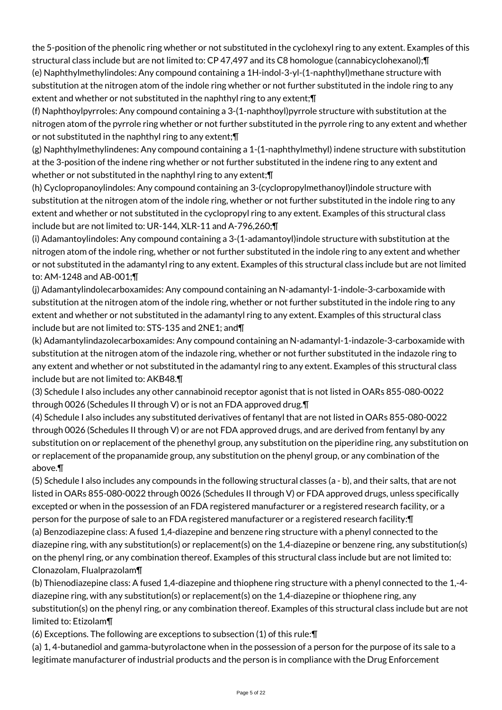the 5-position of the phenolic ring whether or not substituted in the cyclohexyl ring to any extent. Examples of this structural class include but are not limited to: CP 47,497 and its C8 homologue (cannabicyclohexanol);¶

(e) Naphthylmethylindoles: Any compound containing a 1H-indol-3-yl-(1-naphthyl)methane structure with substitution at the nitrogen atom of the indole ring whether or not further substituted in the indole ring to any extent and whether or not substituted in the naphthyl ring to any extent;¶

(f) Naphthoylpyrroles: Any compound containing a 3-(1-naphthoyl)pyrrole structure with substitution at the nitrogen atom of the pyrrole ring whether or not further substituted in the pyrrole ring to any extent and whether or not substituted in the naphthyl ring to any extent;¶

(g) Naphthylmethylindenes: Any compound containing a 1-(1-naphthylmethyl) indene structure with substitution at the 3-position of the indene ring whether or not further substituted in the indene ring to any extent and whether or not substituted in the naphthyl ring to any extent; \[

(h) Cyclopropanoylindoles: Any compound containing an 3-(cyclopropylmethanoyl)indole structure with substitution at the nitrogen atom of the indole ring, whether or not further substituted in the indole ring to any extent and whether or not substituted in the cyclopropyl ring to any extent. Examples of this structural class include but are not limited to: UR-144, XLR-11 and A-796,260;¶

(i) Adamantoylindoles: Any compound containing a 3-(1-adamantoyl)indole structure with substitution at the nitrogen atom of the indole ring, whether or not further substituted in the indole ring to any extent and whether or not substituted in the adamantyl ring to any extent. Examples of this structural class include but are not limited to: AM-1248 and AB-001;¶

(j) Adamantylindolecarboxamides: Any compound containing an N-adamantyl-1-indole-3-carboxamide with substitution at the nitrogen atom of the indole ring, whether or not further substituted in the indole ring to any extent and whether or not substituted in the adamantyl ring to any extent. Examples of this structural class include but are not limited to: STS-135 and 2NE1; and¶

(k) Adamantylindazolecarboxamides: Any compound containing an N-adamantyl-1-indazole-3-carboxamide with substitution at the nitrogen atom of the indazole ring, whether or not further substituted in the indazole ring to any extent and whether or not substituted in the adamantyl ring to any extent. Examples of this structural class include but are not limited to: AKB48.¶

(3) Schedule I also includes any other cannabinoid receptor agonist that is not listed in OARs 855-080-0022 through 0026 (Schedules II through V) or is not an FDA approved drug.¶

(4) Schedule I also includes any substituted derivatives of fentanyl that are not listed in OARs 855-080-0022 through 0026 (Schedules II through V) or are not FDA approved drugs, and are derived from fentanyl by any substitution on or replacement of the phenethyl group, any substitution on the piperidine ring, any substitution on or replacement of the propanamide group, any substitution on the phenyl group, or any combination of the above.¶

(5) Schedule I also includes any compounds in the following structural classes (a - b), and their salts, that are not listed in OARs 855-080-0022 through 0026 (Schedules II through V) or FDA approved drugs, unless specifically excepted or when in the possession of an FDA registered manufacturer or a registered research facility, or a person for the purpose of sale to an FDA registered manufacturer or a registered research facility:¶ (a) Benzodiazepine class: A fused 1,4-diazepine and benzene ring structure with a phenyl connected to the diazepine ring, with any substitution(s) or replacement(s) on the 1,4-diazepine or benzene ring, any substitution(s) on the phenyl ring, or any combination thereof. Examples of this structural class include but are not limited to:

Clonazolam, Flualprazolam¶

(b) Thienodiazepine class: A fused 1,4-diazepine and thiophene ring structure with a phenyl connected to the 1,-4 diazepine ring, with any substitution(s) or replacement(s) on the 1,4-diazepine or thiophene ring, any substitution(s) on the phenyl ring, or any combination thereof. Examples of this structural class include but are not limited to: Etizolam¶

(6) Exceptions. The following are exceptions to subsection (1) of this rule:¶

(a) 1, 4-butanediol and gamma-butyrolactone when in the possession of a person for the purpose of its sale to a legitimate manufacturer of industrial products and the person is in compliance with the Drug Enforcement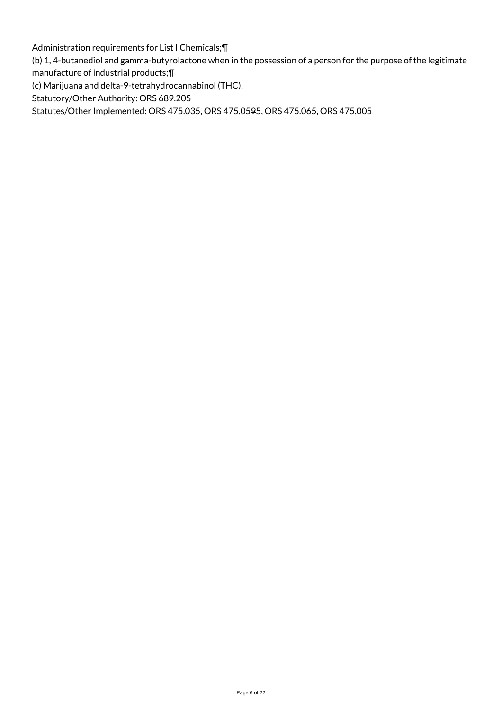Administration requirements for List I Chemicals;¶

(b) 1, 4-butanediol and gamma-butyrolactone when in the possession of a person for the purpose of the legitimate

manufacture of industrial products;¶

(c) Marijuana and delta-9-tetrahydrocannabinol (THC).

Statutory/Other Authority: ORS 689.205

Statutes/Other Implemented: ORS 475.035, ORS 475.0595, ORS 475.065, ORS 475.005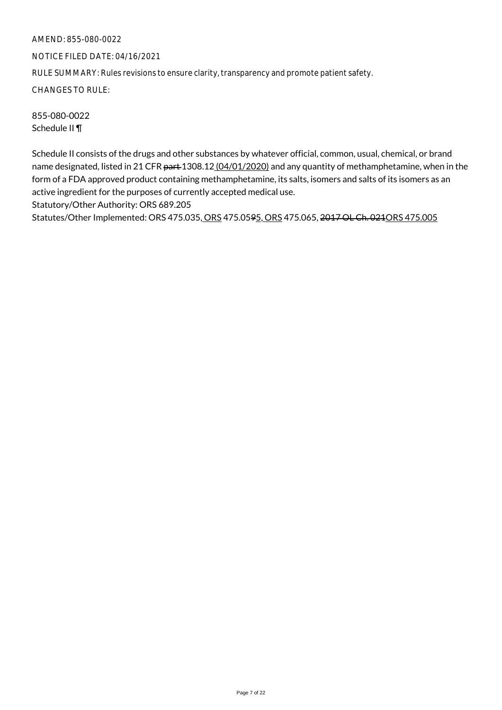NOTICE FILED DATE: 04/16/2021

RULE SUMMARY: Rules revisions to ensure clarity, transparency and promote patient safety.

CHANGES TO RULE:

855-080-0022 Schedule II ¶

Schedule II consists of the drugs and other substances by whatever official, common, usual, chemical, or brand name designated, listed in 21 CFR part 1308.12 (04/01/2020) and any quantity of methamphetamine, when in the form of a FDA approved product containing methamphetamine, its salts, isomers and salts of its isomers as an active ingredient for the purposes of currently accepted medical use.

Statutory/Other Authority: ORS 689.205

Statutes/Other Implemented: ORS 475.035, ORS 475.0595, ORS 475.065, 2017 OL Ch. 021ORS 475.005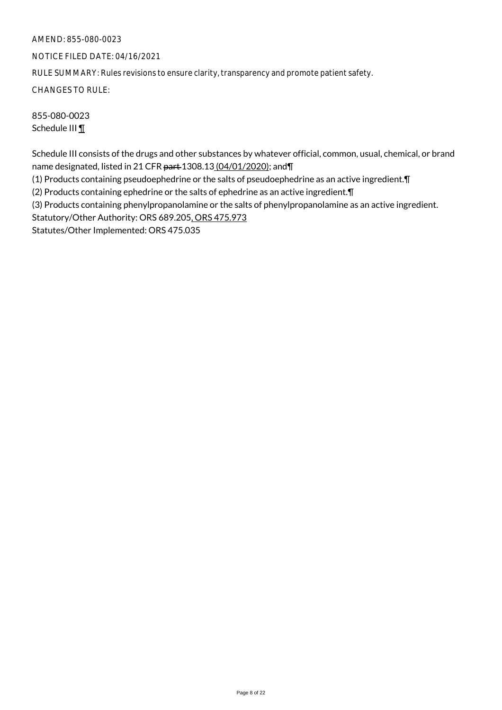NOTICE FILED DATE: 04/16/2021

RULE SUMMARY: Rules revisions to ensure clarity, transparency and promote patient safety.

CHANGES TO RULE:

855-080-0023 Schedule III **1** 

Schedule III consists of the drugs and other substances by whatever official, common, usual, chemical, or brand name designated, listed in 21 CFR part 1308.13 (04/01/2020); and \[

(1) Products containing pseudoephedrine or the salts of pseudoephedrine as an active ingredient.¶

(2) Products containing ephedrine or the salts of ephedrine as an active ingredient.¶

(3) Products containing phenylpropanolamine or the salts of phenylpropanolamine as an active ingredient.

Statutory/Other Authority: ORS 689.205, ORS 475.973

Statutes/Other Implemented: ORS 475.035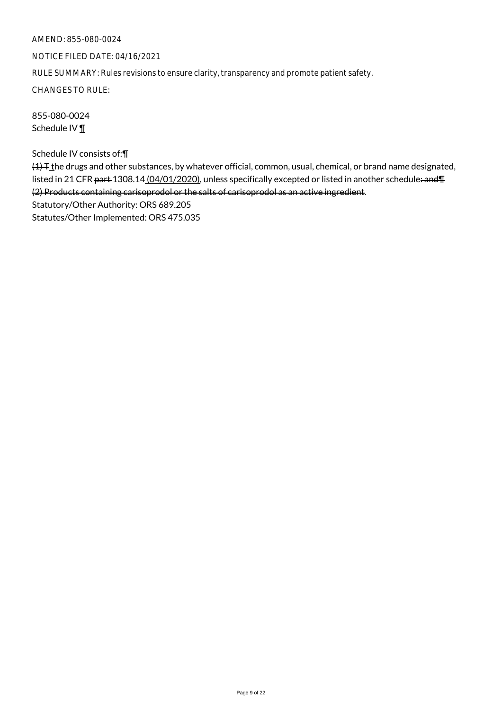## NOTICE FILED DATE: 04/16/2021

RULE SUMMARY: Rules revisions to ensure clarity, transparency and promote patient safety.

CHANGES TO RULE:

855-080-0024 Schedule IV ¶

Schedule IV consists of:¶

 $(1)$  T<sub>the</sub> drugs and other substances, by whatever official, common, usual, chemical, or brand name designated, listed in 21 CFR part 1308.14 (04/01/2020), unless specifically excepted or listed in another schedule: and T (2) Products containing carisoprodol or the salts of carisoprodol as an active ingredient. Statutory/Other Authority: ORS 689.205 Statutes/Other Implemented: ORS 475.035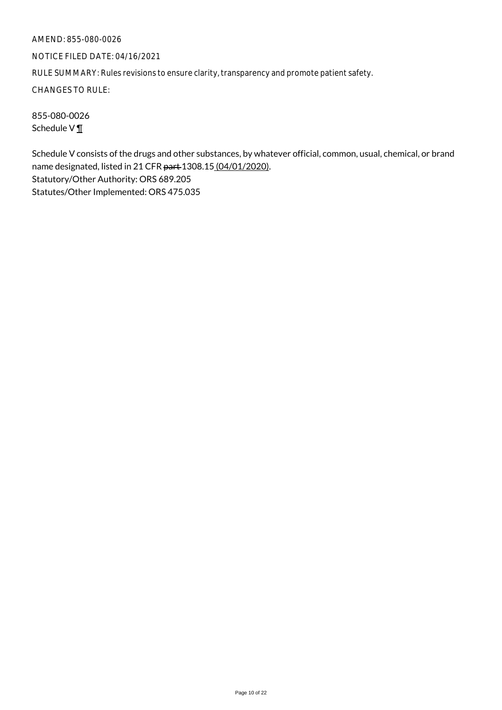NOTICE FILED DATE: 04/16/2021

RULE SUMMARY: Rules revisions to ensure clarity, transparency and promote patient safety.

CHANGES TO RULE:

855-080-0026 Schedule V $\P$ 

Schedule V consists of the drugs and other substances, by whatever official, common, usual, chemical, or brand name designated, listed in 21 CFR part 1308.15 (04/01/2020). Statutory/Other Authority: ORS 689.205 Statutes/Other Implemented: ORS 475.035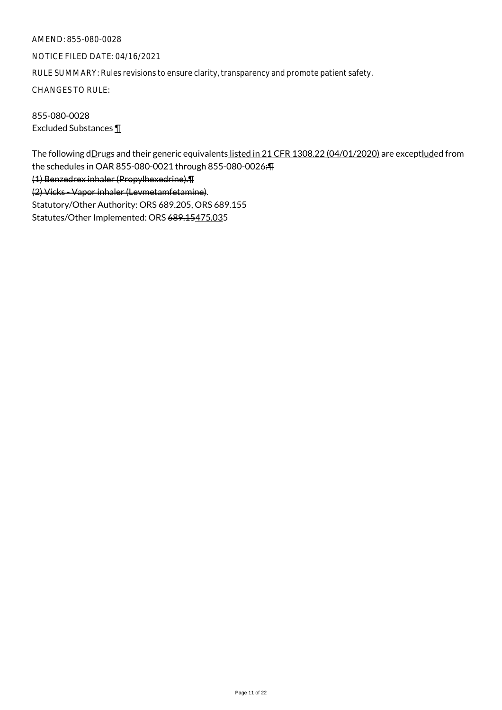NOTICE FILED DATE: 04/16/2021

RULE SUMMARY: Rules revisions to ensure clarity, transparency and promote patient safety.

CHANGES TO RULE:

855-080-0028 Excluded Substances ¶

The following dDrugs and their generic equivalents listed in 21 CFR 1308.22 (04/01/2020) are exceptluded from the schedules in OAR 855-080-0021 through 855-080-0026:¶ (1) Benzedrex inhaler (Propylhexedrine).¶ (2) Vicks - Vapor inhaler (Levmetamfetamine). Statutory/Other Authority: ORS 689.205, ORS 689.155 Statutes/Other Implemented: ORS 689.15475.035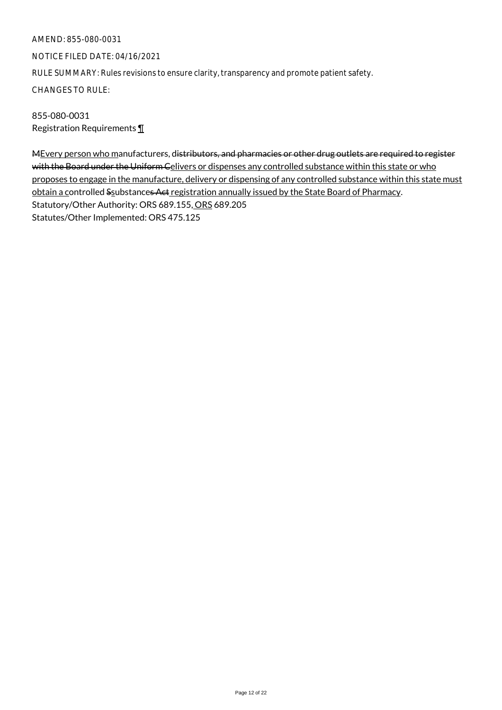NOTICE FILED DATE: 04/16/2021

RULE SUMMARY: Rules revisions to ensure clarity, transparency and promote patient safety.

CHANGES TO RULE:

855-080-0031 Registration Requirements ¶

MEvery person who manufacturers, distributors, and pharmacies or other drug outlets are required to register with the Board under the Uniform Celivers or dispenses any controlled substance within this state or who proposes to engage in the manufacture, delivery or dispensing of any controlled substance within this state must obtain a controlled Ssubstances Act registration annually issued by the State Board of Pharmacy. Statutory/Other Authority: ORS 689.155, ORS 689.205 Statutes/Other Implemented: ORS 475.125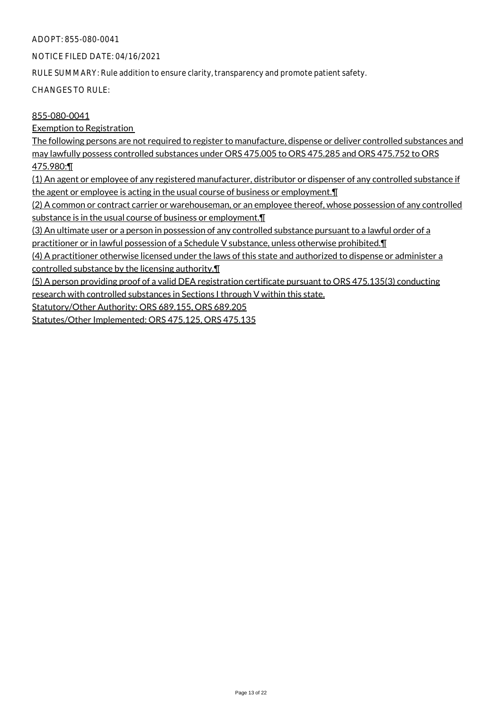## ADOPT: 855-080-0041

NOTICE FILED DATE: 04/16/2021

RULE SUMMARY: Rule addition to ensure clarity, transparency and promote patient safety.

CHANGES TO RULE:

## 855-080-0041

Exemption to Registration

The following persons are not required to register to manufacture, dispense or deliver controlled substances and may lawfully possess controlled substances under ORS 475.005 to ORS 475.285 and ORS 475.752 to ORS 475.980:¶

(1) An agent or employee of any registered manufacturer, distributor or dispenser of any controlled substance if the agent or employee is acting in the usual course of business or employment.¶

(2) A common or contract carrier or warehouseman, or an employee thereof, whose possession of any controlled substance is in the usual course of business or employment.¶

(3) An ultimate user or a person in possession of any controlled substance pursuant to a lawful order of a

practitioner or in lawful possession of a Schedule V substance, unless otherwise prohibited.¶

(4) A practitioner otherwise licensed under the laws of this state and authorized to dispense or administer a controlled substance by the licensing authority.¶

(5) A person providing proof of a valid DEA registration certificate pursuant to ORS 475.135(3) conducting research with controlled substances in Sections I through V within this state.

Statutory/Other Authority: ORS 689.155, ORS 689.205

Statutes/Other Implemented: ORS 475.125, ORS 475.135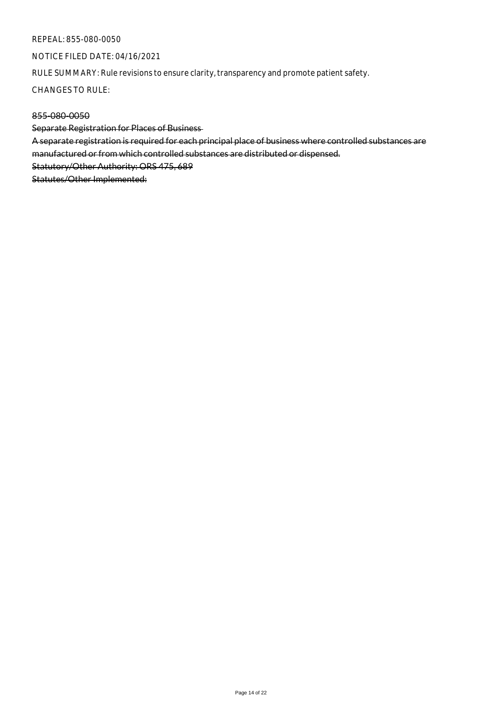#### REPEAL: 855-080-0050

NOTICE FILED DATE: 04/16/2021

RULE SUMMARY: Rule revisions to ensure clarity, transparency and promote patient safety.

CHANGES TO RULE:

## 855-080-0050

Separate Registration for Places of Business

A separate registration is required for each principal place of business where controlled substances are manufactured or from which controlled substances are distributed or dispensed.

Statutory/Other Authority: ORS 475, 689

Statutes/Other Implemented: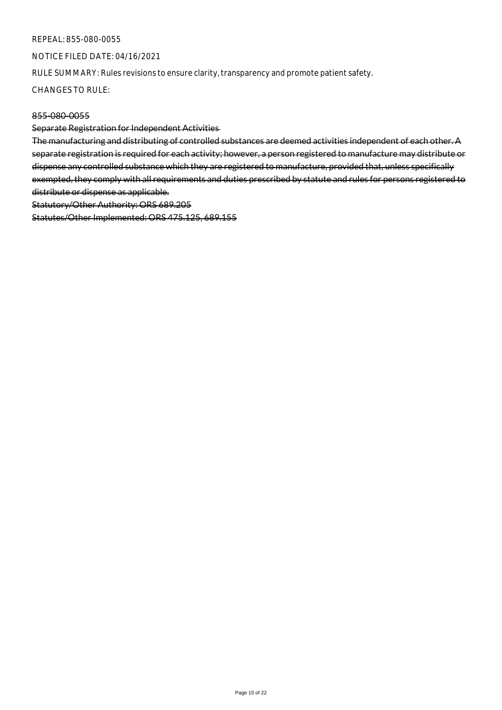#### REPEAL: 855-080-0055

NOTICE FILED DATE: 04/16/2021

RULE SUMMARY: Rules revisions to ensure clarity, transparency and promote patient safety.

CHANGES TO RULE:

#### 855-080-0055

Separate Registration for Independent Activities

The manufacturing and distributing of controlled substances are deemed activities independent of each other. A separate registration is required for each activity; however, a person registered to manufacture may distribute or dispense any controlled substance which they are registered to manufacture, provided that, unless specifically exempted, they comply with all requirements and duties prescribed by statute and rules for persons registered to distribute or dispense as applicable.

Statutory/Other Authority: ORS 689.205

Statutes/Other Implemented: ORS 475.125, 689.155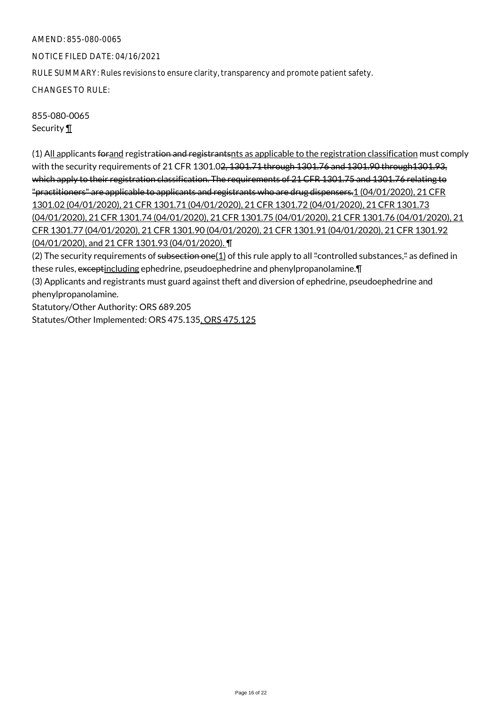NOTICE FILED DATE: 04/16/2021

RULE SUMMARY: Rules revisions to ensure clarity, transparency and promote patient safety.

CHANGES TO RULE:

855-080-0065 Security ¶

(1) All applicants for and registration and registrantsnts as applicable to the registration classification must comply with the security requirements of 21 CFR 1301.0<del>2, 1301.71 through 1301.76 and 1301.90 through 1301.93,</del> which apply to their registration classification. The requirements of 21 CFR 1301.75 and 1301.76 relating to "practitioners" are applicable to applicants and registrants who are drug dispensers.1 (04/01/2020), 21 CFR 1301.02 (04/01/2020), 21 CFR 1301.71 (04/01/2020), 21 CFR 1301.72 (04/01/2020), 21 CFR 1301.73 (04/01/2020), 21 CFR 1301.74 (04/01/2020), 21 CFR 1301.75 (04/01/2020), 21 CFR 1301.76 (04/01/2020), 21 CFR 1301.77 (04/01/2020), 21 CFR 1301.90 (04/01/2020), 21 CFR 1301.91 (04/01/2020), 21 CFR 1301.92 (04/01/2020), and 21 CFR 1301.93 (04/01/2020). ¶

(2) The security requirements of subsection one $(1)$  of this rule apply to all "controlled substances," as defined in these rules, exceptincluding ephedrine, pseudoephedrine and phenylpropanolamine. [

(3) Applicants and registrants must guard against theft and diversion of ephedrine, pseudoephedrine and phenylpropanolamine.

Statutory/Other Authority: ORS 689.205

Statutes/Other Implemented: ORS 475.135, ORS 475.125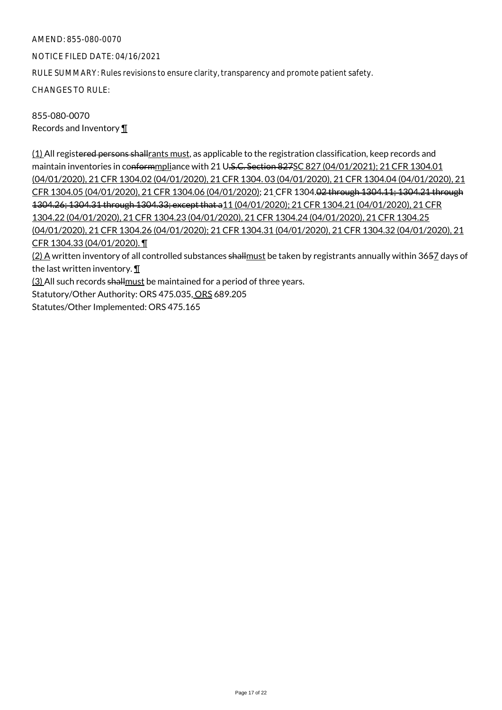NOTICE FILED DATE: 04/16/2021

RULE SUMMARY: Rules revisions to ensure clarity, transparency and promote patient safety.

CHANGES TO RULE:

855-080-0070 Records and Inventory ¶

(1) All registered persons shallrants must, as applicable to the registration classification, keep records and maintain inventories in conformmpliance with 21 U.S.C. Section 827SC 827 (04/01/2021); 21 CFR 1304.01 (04/01/2020), 21 CFR 1304.02 (04/01/2020), 21 CFR 1304. 03 (04/01/2020), 21 CFR 1304.04 (04/01/2020), 21 CFR 1304.05 (04/01/2020), 21 CFR 1304.06 (04/01/2020); 21 CFR 1304.02 through 1304.11; 1304.21 through 1304.26; 1304.31 through 1304.33; except that a11 (04/01/2020); 21 CFR 1304.21 (04/01/2020), 21 CFR 1304.22 (04/01/2020), 21 CFR 1304.23 (04/01/2020), 21 CFR 1304.24 (04/01/2020), 21 CFR 1304.25 (04/01/2020), 21 CFR 1304.26 (04/01/2020); 21 CFR 1304.31 (04/01/2020), 21 CFR 1304.32 (04/01/2020), 21 CFR 1304.33 (04/01/2020). ¶

(2) A written inventory of all controlled substances shallmust be taken by registrants annually within 3657 days of the last written inventory. ¶

(3) All such records shall must be maintained for a period of three years.

Statutory/Other Authority: ORS 475.035, ORS 689.205

Statutes/Other Implemented: ORS 475.165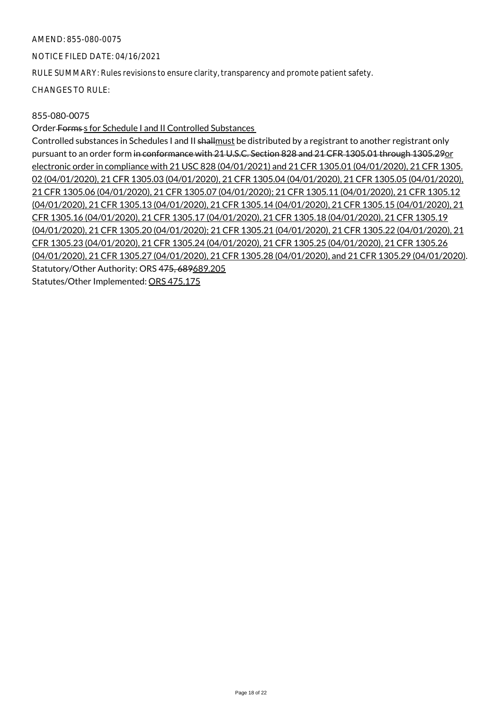NOTICE FILED DATE: 04/16/2021

RULE SUMMARY: Rules revisions to ensure clarity, transparency and promote patient safety.

CHANGES TO RULE:

## 855-080-0075

Order Forms s for Schedule I and II Controlled Substances

Controlled substances in Schedules I and II shallmust be distributed by a registrant to another registrant only pursuant to an order form in conformance with 21 U.S.C. Section 828 and 21 CFR 1305.01 through 1305.29or electronic order in compliance with 21 USC 828 (04/01/2021) and 21 CFR 1305.01 (04/01/2020), 21 CFR 1305. 02 (04/01/2020), 21 CFR 1305.03 (04/01/2020), 21 CFR 1305.04 (04/01/2020), 21 CFR 1305.05 (04/01/2020), 21 CFR 1305.06 (04/01/2020), 21 CFR 1305.07 (04/01/2020); 21 CFR 1305.11 (04/01/2020), 21 CFR 1305.12 (04/01/2020), 21 CFR 1305.13 (04/01/2020), 21 CFR 1305.14 (04/01/2020), 21 CFR 1305.15 (04/01/2020), 21 CFR 1305.16 (04/01/2020), 21 CFR 1305.17 (04/01/2020), 21 CFR 1305.18 (04/01/2020), 21 CFR 1305.19 (04/01/2020), 21 CFR 1305.20 (04/01/2020); 21 CFR 1305.21 (04/01/2020), 21 CFR 1305.22 (04/01/2020), 21 CFR 1305.23 (04/01/2020), 21 CFR 1305.24 (04/01/2020), 21 CFR 1305.25 (04/01/2020), 21 CFR 1305.26 (04/01/2020), 21 CFR 1305.27 (04/01/2020), 21 CFR 1305.28 (04/01/2020), and 21 CFR 1305.29 (04/01/2020). Statutory/Other Authority: ORS 475, 689689.205 Statutes/Other Implemented: ORS 475.175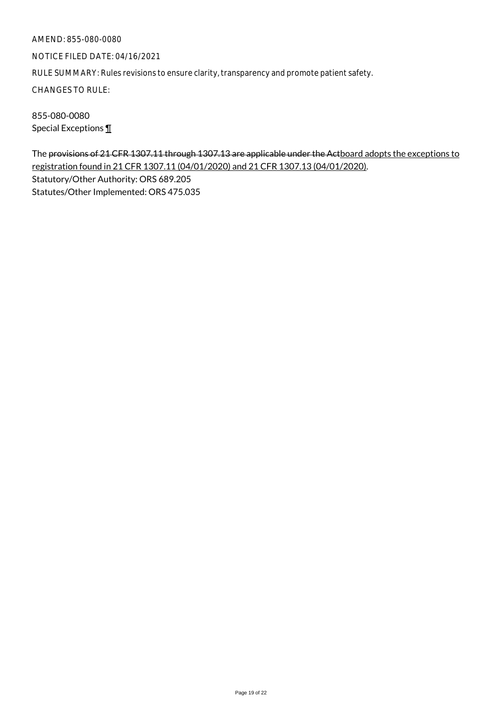NOTICE FILED DATE: 04/16/2021

RULE SUMMARY: Rules revisions to ensure clarity, transparency and promote patient safety.

CHANGES TO RULE:

855-080-0080 Special Exceptions ¶

The provisions of 21 CFR 1307.11 through 1307.13 are applicable under the Actboard adopts the exceptions to registration found in 21 CFR 1307.11 (04/01/2020) and 21 CFR 1307.13 (04/01/2020). Statutory/Other Authority: ORS 689.205 Statutes/Other Implemented: ORS 475.035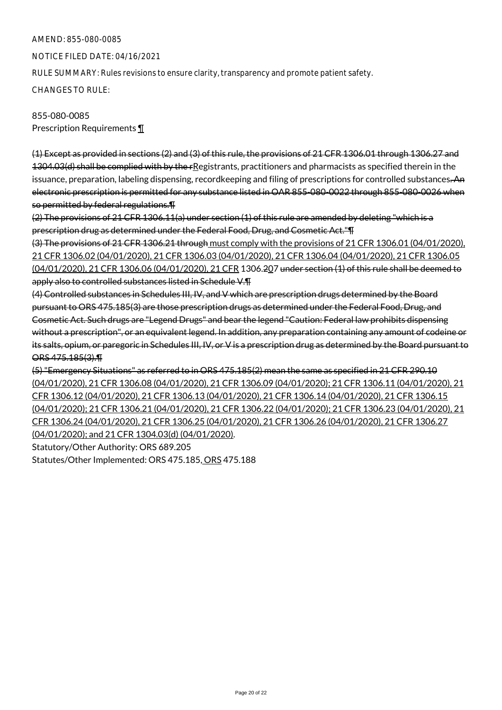NOTICE FILED DATE: 04/16/2021

RULE SUMMARY: Rules revisions to ensure clarity, transparency and promote patient safety.

CHANGES TO RULE:

# 855-080-0085 Prescription Requirements ¶

(1) Except as provided in sections (2) and (3) of this rule, the provisions of 21 CFR 1306.01 through 1306.27 and 1304.03(d) shall be complied with by the rRegistrants, practitioners and pharmacists as specified therein in the issuance, preparation, labeling dispensing, recordkeeping and filing of prescriptions for controlled substances. An electronic prescription is permitted for any substance listed in OAR 855-080-0022 through 855-080-0026 when so permitted by federal regulations.¶

(2) The provisions of 21 CFR 1306.11(a) under section (1) of this rule are amended by deleting "which is a prescription drug as determined under the Federal Food, Drug, and Cosmetic Act."¶

(3) The provisions of 21 CFR 1306.21 through must comply with the provisions of 21 CFR 1306.01 (04/01/2020), 21 CFR 1306.02 (04/01/2020), 21 CFR 1306.03 (04/01/2020), 21 CFR 1306.04 (04/01/2020), 21 CFR 1306.05 (04/01/2020), 21 CFR 1306.06 (04/01/2020), 21 CFR 1306.207 under section (1) of this rule shall be deemed to apply also to controlled substances listed in Schedule V.¶

(4) Controlled substances in Schedules III, IV, and V which are prescription drugs determined by the Board pursuant to ORS 475.185(3) are those prescription drugs as determined under the Federal Food, Drug, and Cosmetic Act. Such drugs are "Legend Drugs" and bear the legend "Caution: Federal law prohibits dispensing without a prescription", or an equivalent legend. In addition, any preparation containing any amount of codeine or its salts, opium, or paregoric in Schedules III, IV, or V is a prescription drug as determined by the Board pursuant to ORS 475.185(3).¶

(5) "Emergency Situations" as referred to in ORS 475.185(2) mean the same as specified in 21 CFR 290.10 (04/01/2020), 21 CFR 1306.08 (04/01/2020), 21 CFR 1306.09 (04/01/2020); 21 CFR 1306.11 (04/01/2020), 21 CFR 1306.12 (04/01/2020), 21 CFR 1306.13 (04/01/2020), 21 CFR 1306.14 (04/01/2020), 21 CFR 1306.15 (04/01/2020); 21 CFR 1306.21 (04/01/2020), 21 CFR 1306.22 (04/01/2020); 21 CFR 1306.23 (04/01/2020), 21 CFR 1306.24 (04/01/2020), 21 CFR 1306.25 (04/01/2020), 21 CFR 1306.26 (04/01/2020), 21 CFR 1306.27 (04/01/2020); and 21 CFR 1304.03(d) (04/01/2020). Statutory/Other Authority: ORS 689.205

Statutes/Other Implemented: ORS 475.185, ORS 475.188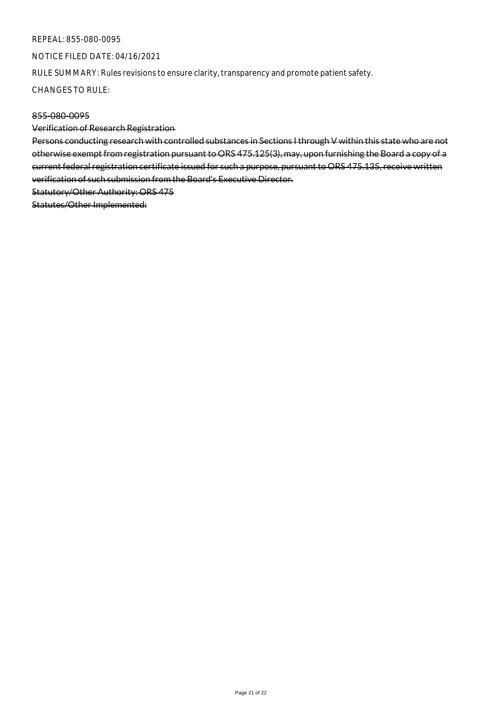#### REPEAL: 855-080-0095

NOTICE FILED DATE: 04/16/2021

RULE SUMMARY: Rules revisions to ensure clarity, transparency and promote patient safety.

CHANGES TO RULE:

## 855-080-0095

Verification of Research Registration

Persons conducting research with controlled substances in Sections I through V within this state who are not otherwise exempt from registration pursuant to ORS 475.125(3), may, upon furnishing the Board a copy of a current federal registration certificate issued for such a purpose, pursuant to ORS 475.135, receive written verification of such submission from the Board's Executive Director. Statutory/Other Authority: ORS 475

Statutes/Other Implemented: